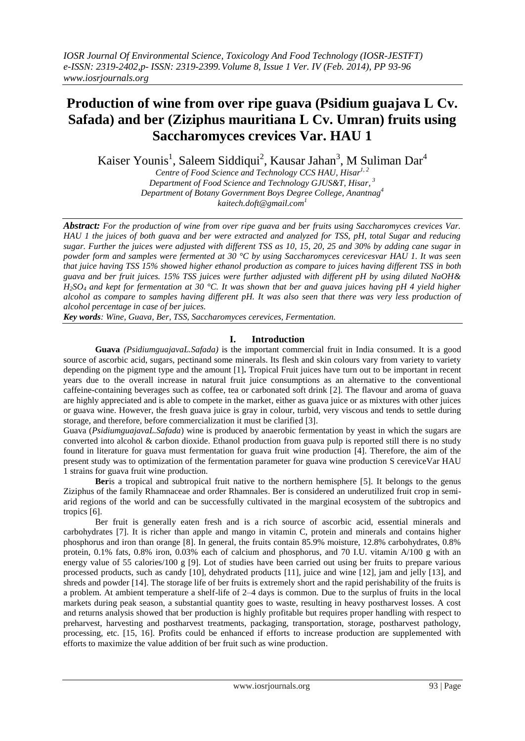# **Production of wine from over ripe guava (Psidium guajava L Cv. Safada) and ber (Ziziphus mauritiana L Cv. Umran) fruits using Saccharomyces crevices Var. HAU 1**

Kaiser Younis<sup>1</sup>, Saleem Siddiqui<sup>2</sup>, Kausar Jahan<sup>3</sup>, M Suliman Dar<sup>4</sup>

*Centre of Food Science and Technology CCS HAU, Hisar 1, 2 Department of Food Science and Technology GJUS&T, Hisar, 3 Department of Botany Government Boys Degree College, Anantnag<sup>4</sup> kaitech.doft@gmail.com<sup>1</sup>*

*Abstract: For the production of wine from over ripe guava and ber fruits using Saccharomyces crevices Var. HAU 1 the juices of both guava and ber were extracted and analyzed for TSS, pH, total Sugar and reducing sugar. Further the juices were adjusted with different TSS as 10, 15, 20, 25 and 30% by adding cane sugar in powder form and samples were fermented at 30 °C by using Saccharomyces cerevicesvar HAU 1. It was seen that juice having TSS 15% showed higher ethanol production as compare to juices having different TSS in both guava and ber fruit juices. 15% TSS juices were further adjusted with different pH by using diluted NaOH&*   $H_2SO_4$  and kept for fermentation at 30 °C. It was shown that ber and guava juices having pH 4 yield higher *alcohol as compare to samples having different pH. It was also seen that there was very less production of alcohol percentage in case of ber juices.*

*Key words: Wine, Guava, Ber, TSS, Saccharomyces cerevices, Fermentation.*

## **I. Introduction**

**Guava** *(PsidiumguajavaL.Safada)* is the important commercial fruit in India consumed. It is a good source of ascorbic acid, sugars, pectinand some minerals. Its flesh and skin colours vary from variety to variety depending on the pigment type and the amount [1]**.** Tropical Fruit juices have turn out to be important in recent years due to the overall increase in natural fruit juice consumptions as an alternative to the conventional caffeine-containing beverages such as coffee, tea or carbonated soft drink [2]. The flavour and aroma of guava are highly appreciated and is able to compete in the market, either as guava juice or as mixtures with other juices or guava wine. However, the fresh guava juice is gray in colour, turbid, very viscous and tends to settle during storage, and therefore, before commercialization it must be clarified [3].

Guava (*PsidiumguajavaL.Safada*) wine is produced by anaerobic fermentation by yeast in which the sugars are converted into alcohol & carbon dioxide. Ethanol production from guava pulp is reported still there is no study found in literature for guava must fermentation for guava fruit wine production [4]. Therefore, the aim of the present study was to optimization of the fermentation parameter for guava wine production S cereviceVar HAU 1 strains for guava fruit wine production.

**Ber**is a tropical and subtropical fruit native to the northern hemisphere [5]. It belongs to the genus Ziziphus of the family Rhamnaceae and order Rhamnales. Ber is considered an underutilized fruit crop in semiarid regions of the world and can be successfully cultivated in the marginal ecosystem of the subtropics and tropics [6].

Ber fruit is generally eaten fresh and is a rich source of ascorbic acid, essential minerals and carbohydrates [7]. It is richer than apple and mango in vitamin C, protein and minerals and contains higher phosphorus and iron than orange [8]. In general, the fruits contain 85.9% moisture, 12.8% carbohydrates, 0.8% protein, 0.1% fats, 0.8% iron, 0.03% each of calcium and phosphorus, and 70 I.U. vitamin A/100 g with an energy value of 55 calories/100 g [9]. Lot of studies have been carried out using ber fruits to prepare various processed products, such as candy [10], dehydrated products [11], juice and wine [12], jam and jelly [13], and shreds and powder [14]. The storage life of ber fruits is extremely short and the rapid perishability of the fruits is a problem. At ambient temperature a shelf-life of 2–4 days is common. Due to the surplus of fruits in the local markets during peak season, a substantial quantity goes to waste, resulting in heavy postharvest losses. A cost and returns analysis showed that ber production is highly profitable but requires proper handling with respect to preharvest, harvesting and postharvest treatments, packaging, transportation, storage, postharvest pathology, processing, etc. [15, 16]. Profits could be enhanced if efforts to increase production are supplemented with efforts to maximize the value addition of ber fruit such as wine production.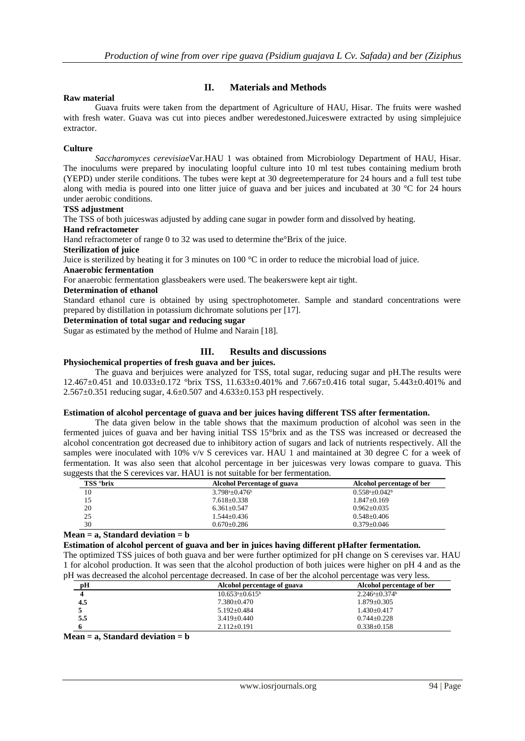## **II. Materials and Methods**

### **Raw material**

Guava fruits were taken from the department of Agriculture of HAU, Hisar. The fruits were washed with fresh water. Guava was cut into pieces andber weredestoned.Juiceswere extracted by using simplejuice extractor.

## **Culture**

*Saccharomyces cerevisiae*Var.HAU 1 was obtained from Microbiology Department of HAU, Hisar. The inoculums were prepared by inoculating loopful culture into 10 ml test tubes containing medium broth (YEPD) under sterile conditions. The tubes were kept at 30 degreetemperature for 24 hours and a full test tube along with media is poured into one litter juice of guava and ber juices and incubated at 30 °C for 24 hours under aerobic conditions.

#### **TSS adjustment**

The TSS of both juiceswas adjusted by adding cane sugar in powder form and dissolved by heating.

#### **Hand refractometer**

Hand refractometer of range 0 to 32 was used to determine the°Brix of the juice.

**Sterilization of juice** 

Juice is sterilized by heating it for 3 minutes on 100 °C in order to reduce the microbial load of juice.

## **Anaerobic fermentation**

For anaerobic fermentation glassbeakers were used. The beakerswere kept air tight.

#### **Determination of ethanol**

Standard ethanol cure is obtained by using spectrophotometer. Sample and standard concentrations were prepared by distillation in potassium dichromate solutions per [17].

### **Determination of total sugar and reducing sugar**

Sugar as estimated by the method of Hulme and Narain [18].

## **III. Results and discussions**

## **Physiochemical properties of fresh guava and ber juices.**

The guava and berjuices were analyzed for TSS, total sugar, reducing sugar and pH.The results were 12.467±0.451 and 10.033±0.172 °brix TSS, 11.633±0.401% and 7.667±0.416 total sugar, 5.443±0.401% and  $2.567 \pm 0.351$  reducing sugar,  $4.6 \pm 0.507$  and  $4.633 \pm 0.153$  pH respectively.

#### **Estimation of alcohol percentage of guava and ber juices having different TSS after fermentation.**

The data given below in the table shows that the maximum production of alcohol was seen in the fermented juices of guava and ber having initial TSS 15°brix and as the TSS was increased or decreased the alcohol concentration got decreased due to inhibitory action of sugars and lack of nutrients respectively. All the samples were inoculated with 10% v/v S cerevices var. HAU 1 and maintained at 30 degree C for a week of fermentation. It was also seen that alcohol percentage in ber juiceswas very lowas compare to guava. This suggests that the S cerevices var. HAU1 is not suitable for ber fermentation.

| TSS °brix | <b>Alcohol Percentage of guava</b> | Alcohol percentage of ber                 |
|-----------|------------------------------------|-------------------------------------------|
| 10        | $3.798a_{\pm}0.476b$               | $0.558^{\mathrm{a}} + 0.042^{\mathrm{b}}$ |
| 15        | $7.618 \pm 0.338$                  | $1.847 \pm 0.169$                         |
| 20        | $6.361 + 0.547$                    | $0.962 + 0.035$                           |
| 25        | $1.544 \pm 0.436$                  | $0.548 \pm 0.406$                         |
| 30        | $0.670 + 0.286$                    | $0.379 + 0.046$                           |

#### **Mean = a, Standard deviation = b**

**Estimation of alcohol percent of guava and ber in juices having different pHafter fermentation.**

The optimized TSS juices of both guava and ber were further optimized for pH change on S cerevises var. HAU 1 for alcohol production. It was seen that the alcohol production of both juices were higher on pH 4 and as the pH was decreased the alcohol percentage decreased. In case of ber the alcohol percentage was very less.

| pH  | Alcohol percentage of guava | Alcohol percentage of ber         |
|-----|-----------------------------|-----------------------------------|
| 4   | $10.653^a \pm 0.615^b$      | $2.246^{\circ} \pm 0.374^{\circ}$ |
| 4.5 | 7.380±0.470                 | 1.879+0.305                       |
|     | $5.192 + 0.484$             | $1.430 \pm 0.417$                 |
| 5.5 | $3.419 + 0.440$             | $0.744 + 0.228$                   |
|     | $2.112 \pm 0.191$           | $0.338 \pm 0.158$                 |

**Mean = a, Standard deviation = b**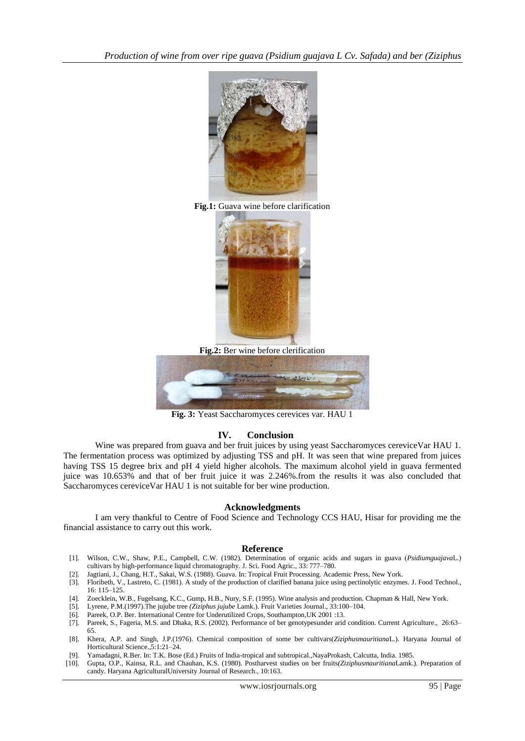

**Fig.1:** Guava wine before clarification



**Fig.2:** Ber wine before clerification



**Fig. 3:** Yeast Saccharomyces cerevices var. HAU 1

## **IV. Conclusion**

Wine was prepared from guava and ber fruit juices by using yeast Saccharomyces cereviceVar HAU 1. The fermentation process was optimized by adjusting TSS and pH. It was seen that wine prepared from juices having TSS 15 degree brix and pH 4 yield higher alcohols. The maximum alcohol yield in guava fermented juice was 10.653% and that of ber fruit juice it was 2.246%.from the results it was also concluded that Saccharomyces cereviceVar HAU 1 is not suitable for ber wine production.

#### **Acknowledgments**

I am very thankful to Centre of Food Science and Technology CCS HAU, Hisar for providing me the financial assistance to carry out this work.

#### **Reference**

- [1]. Wilson, C.W., Shaw, P.E., Campbell, C.W. (1982). Determination of organic acids and sugars in guava (*Psidiumguajava*L.) cultivars by high-performance liquid chromatography. J. Sci. Food Agric., 33: 777–780.
- [2]. Jagtiani, J., Chang, H.T., Sakai, W.S. (1988). Guava. In: Tropical Fruit Processing. Academic Press, New York. [3]. Floribeth, V., Lastreto, C. (1981). A study of the production of clarified banana juice using pectino
- [3]. Floribeth, V., Lastreto, C. (1981). A study of the production of clarified banana juice using pectinolytic enzymes. J. Food Technol., 16: 115–125.
- [4]. Zoecklein, W.B., Fugelsang, K.C., Gump, H.B., Nury, S.F. (1995). Wine analysis and production. Chapman & Hall, New York.
- [5]. Lyrene, P.M.(1997).The jujube tree *(Ziziphus jujube* Lamk.). Fruit Varieties Journal., 33:100–104.
- [6]. Pareek, O.P. Ber. International Centre for Underutilized Crops, Southampton,UK 2001 :13.
- [7]. Pareek, S., Fageria, M.S. and Dhaka, R.S. (2002). Performance of ber genotypesunder arid condition. Current Agriculture., 26:63– 65.
- [8]. Khera, A.P. and Singh, J.P.(1976). Chemical composition of some ber cultivars(*Ziziphusmauritiana*L.). Haryana Journal of Horticultural Science.,5:1:21–24.
- [9]. Yamadagni, R.Ber. In: T.K. Bose (Ed.) Fruits of India-tropical and subtropical.,NayaProkash, Calcutta, India. 1985.
- [10]. Gupta, O.P., Kainsa, R.L. and Chauhan, K.S. (1980). Postharvest studies on ber fruits*(Ziziphusmauritiana*Lamk.). Preparation of candy. Haryana AgriculturalUniversity Journal of Research., 10:163.